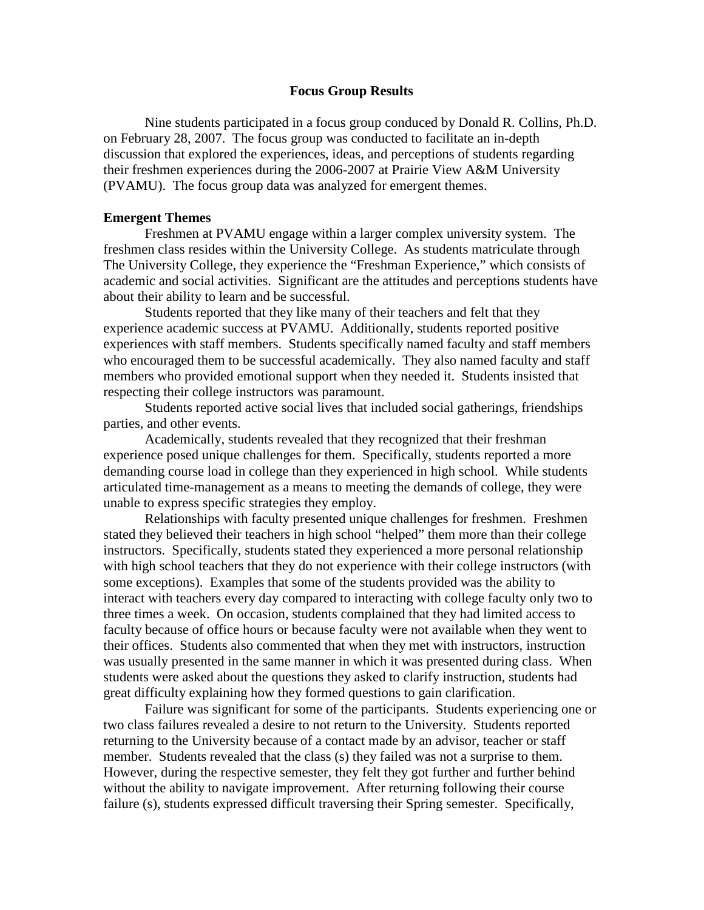## **Focus Group Results**

Nine students participated in a focus group conduced by Donald R. Collins, Ph.D. on February 28, 2007. The focus group was conducted to facilitate an in-depth discussion that explored the experiences, ideas, and perceptions of students regarding their freshmen experiences during the 2006-2007 at Prairie View A&M University (PVAMU). The focus group data was analyzed for emergent themes.

## **Emergent Themes**

Freshmen at PVAMU engage within a larger complex university system. The freshmen class resides within the University College. As students matriculate through The University College, they experience the "Freshman Experience," which consists of academic and social activities. Significant are the attitudes and perceptions students have about their ability to learn and be successful.

Students reported that they like many of their teachers and felt that they experience academic success at PVAMU. Additionally, students reported positive experiences with staff members. Students specifically named faculty and staff members who encouraged them to be successful academically. They also named faculty and staff members who provided emotional support when they needed it. Students insisted that respecting their college instructors was paramount.

Students reported active social lives that included social gatherings, friendships parties, and other events.

Academically, students revealed that they recognized that their freshman experience posed unique challenges for them. Specifically, students reported a more demanding course load in college than they experienced in high school. While students articulated time-management as a means to meeting the demands of college, they were unable to express specific strategies they employ.

Relationships with faculty presented unique challenges for freshmen. Freshmen stated they believed their teachers in high school "helped" them more than their college instructors. Specifically, students stated they experienced a more personal relationship with high school teachers that they do not experience with their college instructors (with some exceptions). Examples that some of the students provided was the ability to interact with teachers every day compared to interacting with college faculty only two to three times a week. On occasion, students complained that they had limited access to faculty because of office hours or because faculty were not available when they went to their offices. Students also commented that when they met with instructors, instruction was usually presented in the same manner in which it was presented during class. When students were asked about the questions they asked to clarify instruction, students had great difficulty explaining how they formed questions to gain clarification.

Failure was significant for some of the participants. Students experiencing one or two class failures revealed a desire to not return to the University. Students reported returning to the University because of a contact made by an advisor, teacher or staff member. Students revealed that the class (s) they failed was not a surprise to them. However, during the respective semester, they felt they got further and further behind without the ability to navigate improvement. After returning following their course failure (s), students expressed difficult traversing their Spring semester. Specifically,